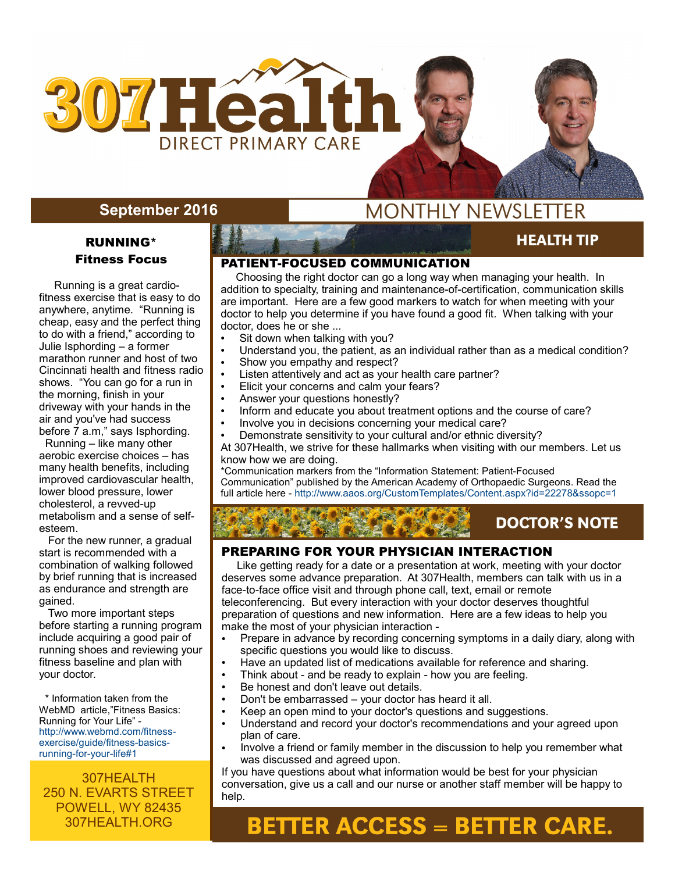

### **September 2016**

### RUNNING\* Fitness Focus

 Running is a great cardiofitness exercise that is easy to do anywhere, anytime. "Running is cheap, easy and the perfect thing to do with a friend," according to Julie Isphording – a former marathon runner and host of two Cincinnati health and fitness radio shows. "You can go for a run in the morning, finish in your driveway with your hands in the air and you've had success before 7 a.m," says Isphording.

 Running – like many other aerobic exercise choices – has many health benefits, including improved cardiovascular health, lower blood pressure, lower cholesterol, a revved-up metabolism and a sense of selfesteem.

 For the new runner, a gradual start is recommended with a combination of walking followed by brief running that is increased as endurance and strength are gained.

 Two more important steps before starting a running program include acquiring a good pair of running shoes and reviewing your fitness baseline and plan with your doctor.

 \* Information taken from the WebMD article,"Fitness Basics: Running for Your Life" http://www.webmd.com/fitnessexercise/guide/fitness-basicsrunning-for-your-life#1

307HEALTH 250 N. EVARTS STREET POWELL, WY 82435 307HEALTH.ORG

## **MONTHLY NEWSLETTER**

### **HEALTH TIP**

**AUGUST 2015** 

#### PATIENT-FOCUSED COMMUNICATION

 Choosing the right doctor can go a long way when managing your health. In addition to specialty, training and maintenance-of-certification, communication skills are important. Here are a few good markers to watch for when meeting with your doctor to help you determine if you have found a good fit. When talking with your doctor, does he or she ...

- Sit down when talking with you?
- Understand you, the patient, as an individual rather than as a medical condition?
- Show you empathy and respect?
- Listen attentively and act as your health care partner?
- Elicit your concerns and calm your fears?
- Answer your questions honestly?
- Inform and educate you about treatment options and the course of care?
- Involve you in decisions concerning your medical care?
- Demonstrate sensitivity to your cultural and/or ethnic diversity?

At 307Health, we strive for these hallmarks when visiting with our members. Let us know how we are doing.

\*Communication markers from the "Information Statement: Patient-Focused Communication" published by the American Academy of Orthopaedic Surgeons. Read the full article here - http://www.aaos.org/CustomTemplates/Content.aspx?id=22278&ssopc=1

### **DOCTOR'S NOTE**

#### PREPARING FOR YOUR PHYSICIAN INTERACTION

 Like getting ready for a date or a presentation at work, meeting with your doctor deserves some advance preparation. At 307Health, members can talk with us in a face-to-face office visit and through phone call, text, email or remote teleconferencing. But every interaction with your doctor deserves thoughtful preparation of questions and new information. Here are a few ideas to help you make the most of your physician interaction -

- Prepare in advance by recording concerning symptoms in a daily diary, along with specific questions you would like to discuss.
- Have an updated list of medications available for reference and sharing.
- Think about and be ready to explain how you are feeling.
- Be honest and don't leave out details.
- Don't be embarrassed your doctor has heard it all.
- Keep an open mind to your doctor's questions and suggestions.
- Understand and record your doctor's recommendations and your agreed upon plan of care.
- Involve a friend or family member in the discussion to help you remember what was discussed and agreed upon.

If you have questions about what information would be best for your physician conversation, give us a call and our nurse or another staff member will be happy to help.

# **BETTER ACCESS = BETTER CARE.**